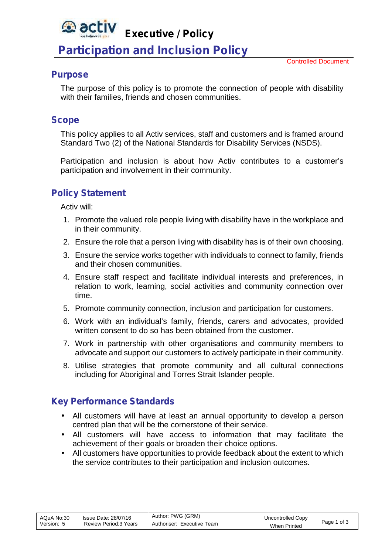#### *<u>a</u>* activ **Executive / Policy**

# **Participation and Inclusion Policy**

### **Purpose**

The purpose of this policy is to promote the connection of people with disability with their families, friends and chosen communities.

## **Scope**

This policy applies to all Activ services, staff and customers and is framed around Standard Two (2) of the National Standards for Disability Services (NSDS).

Participation and inclusion is about how Activ contributes to a customer's participation and involvement in their community.

# **Policy Statement**

Activ will:

- 1. Promote the valued role people living with disability have in the workplace and in their community.
- 2. Ensure the role that a person living with disability has is of their own choosing.
- 3. Ensure the service works together with individuals to connect to family, friends and their chosen communities.
- 4. Ensure staff respect and facilitate individual interests and preferences, in relation to work, learning, social activities and community connection over time.
- 5. Promote community connection, inclusion and participation for customers.
- 6. Work with an individual's family, friends, carers and advocates, provided written consent to do so has been obtained from the customer.
- 7. Work in partnership with other organisations and community members to advocate and support our customers to actively participate in their community.
- 8. Utilise strategies that promote community and all cultural connections including for Aboriginal and Torres Strait Islander people.

## **Key Performance Standards**

- All customers will have at least an annual opportunity to develop a person centred plan that will be the cornerstone of their service.
- All customers will have access to information that may facilitate the achievement of their goals or broaden their choice options.
- All customers have opportunities to provide feedback about the extent to which the service contributes to their participation and inclusion outcomes.

| AQuA No:30 | Issue Date: 28/07/16   | Author: PWG (GRM)          | Uncontrolled Copy   | Page 1 of 3 |  |
|------------|------------------------|----------------------------|---------------------|-------------|--|
| Version: 5 | Review Period: 3 Years | Authoriser: Executive Team | <b>When Printed</b> |             |  |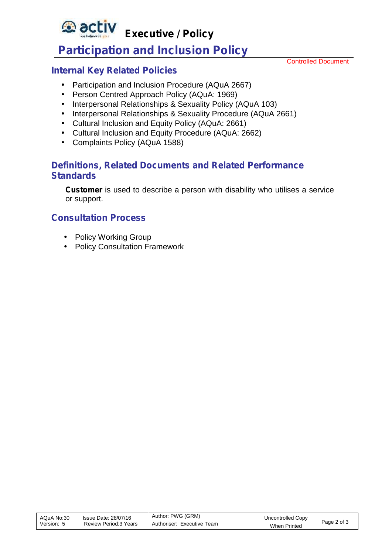**Executive / Policy**

# **Participation and Inclusion Policy**

Controlled Document

# **Internal Key Related Policies**

*<u>activ</u>* 

- Participation and Inclusion Procedure (AQuA 2667)
- Person Centred Approach Policy (AQuA: 1969)
- Interpersonal Relationships & Sexuality Policy (AQuA 103)
- Interpersonal Relationships & Sexuality Procedure (AQuA 2661)
- Cultural Inclusion and Equity Policy (AQuA: 2661)
- Cultural Inclusion and Equity Procedure (AQuA: 2662)
- Complaints Policy (AQuA 1588)

# **Definitions, Related Documents and Related Performance Standards**

**Customer** is used to describe a person with disability who utilises a service or support.

# **Consultation Process**

- Policy Working Group
- Policy Consultation Framework

| AQuA No:30<br>Version: 5 | Issue Date: 28/07/16<br>Review Period: 3 Years | Author: PWG (GRM)<br>Authoriser: Executive Team | Uncontrolled Copy   | Page 2 of 3 |  |
|--------------------------|------------------------------------------------|-------------------------------------------------|---------------------|-------------|--|
|                          |                                                |                                                 | <b>When Printed</b> |             |  |